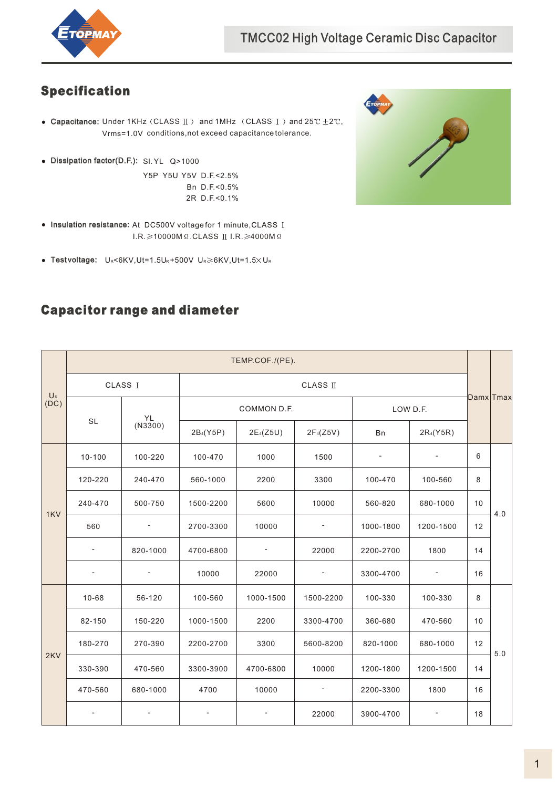

## Specification

- Capacitance: Under 1KHz (CLASS  $\text{II}$ ) and 1MHz (CLASS  $\text{I}$ ) and 25°C $\pm$ 2°C, Vrms=1.0V conditions,not exceed capacitance tolerance.
- Dissipation factor(D.F.): Sl.YL Q>1000

Y5P Y5U Y5V D.F.<2.5% Bn D.F.<0.5% 2R D.F.<0.1%

- Insulation resistance: At DC500V voltage for 1 minute, CLASS I  $I.R. \geqslant 10000M$   $\Omega$ .CLASS II  $I.R. \geqslant 4000M$   $\Omega$
- Test voltage:  $U_R < 6KV, Ut = 1.5U_R + 500V$   $U_R \ge 6KV, Ut = 1.5 \times U_R$



## Capacitor range and diameter

| $U_{R}$<br>(DC) | TEMP.COF./(PE).          |                          |                          |             |                          |           |                          |    |     |  |  |
|-----------------|--------------------------|--------------------------|--------------------------|-------------|--------------------------|-----------|--------------------------|----|-----|--|--|
|                 |                          | CLASS I                  | <b>CLASS II</b>          |             |                          |           |                          |    |     |  |  |
|                 |                          | YL                       |                          | COMMON D.F. |                          | LOW D.F.  | Damx Tmax                |    |     |  |  |
|                 | <b>SL</b>                | (N3300)                  | 2B <sub>4</sub> (Y5P)    | $2E_4(Z5U)$ | $2F_{4}(Z5V)$            | Bn        | 2R <sub>4</sub> (Y5R)    |    |     |  |  |
| 1KV             | $10 - 100$               | 100-220                  | 100-470                  | 1000        | 1500                     |           |                          | 6  |     |  |  |
|                 | 120-220                  | 240-470                  | 560-1000                 | 2200        | 3300                     | 100-470   | 100-560                  | 8  |     |  |  |
|                 | 240-470                  | 500-750                  | 1500-2200                | 5600        | 10000                    | 560-820   | 10<br>680-1000           |    |     |  |  |
|                 | 560                      |                          | 2700-3300                | 10000       |                          | 1000-1800 | 1200-1500                | 12 | 4.0 |  |  |
|                 | $\overline{\phantom{a}}$ | 820-1000                 | 4700-6800                |             | 22000                    | 2200-2700 | 1800                     | 14 |     |  |  |
|                 | $\overline{\phantom{a}}$ | $\overline{\phantom{a}}$ | 10000                    | 22000       | $\overline{\phantom{a}}$ | 3300-4700 | $\overline{\phantom{a}}$ | 16 |     |  |  |
| 2KV             | 10-68                    | 56-120                   | 100-560                  | 1000-1500   | 1500-2200                | 100-330   | 100-330                  | 8  |     |  |  |
|                 | 82-150                   | 150-220                  | 2200<br>1000-1500        |             | 3300-4700                | 360-680   | 470-560                  | 10 |     |  |  |
|                 | 180-270                  | 270-390                  | 2200-2700<br>3300        |             | 5600-8200                | 820-1000  | 680-1000                 | 12 | 5.0 |  |  |
|                 | 330-390                  | 470-560                  | 3300-3900                | 4700-6800   | 10000                    | 1200-1800 | 1200-1500                | 14 |     |  |  |
|                 | 470-560                  | 680-1000                 | 4700                     | 10000       | $\overline{\phantom{a}}$ | 2200-3300 | 1800                     | 16 |     |  |  |
|                 | $\overline{\phantom{a}}$ |                          | $\overline{\phantom{a}}$ |             | 22000                    | 3900-4700 | $\overline{\phantom{a}}$ | 18 |     |  |  |